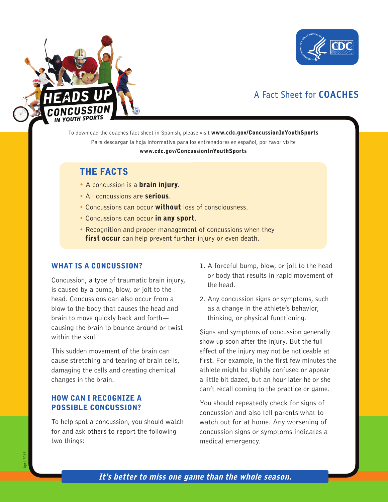



# A Fact Sheet for **COACHES**

To download the coaches fact sheet in Spanish, please visit www.cdc.gov/ConcussionInYouthSports Para descargar la hoja informativa para los entrenadores en español, por favor visite

#### www.cdc.gov/ConcussionInYouthSports

# THE FACTS

- A concussion is a **brain injury**.
- All concussions are serious.
- Concussions can occur without loss of consciousness.
- Concussions can occur in any sport.
- Recognition and proper management of concussions when they **first occur** can help prevent further injury or even death.

#### WHAT IS A CONCUSSION?

Concussion, a type of traumatic brain injury, is caused by a bump, blow, or jolt to the head. Concussions can also occur from a blow to the body that causes the head and brain to move quickly back and forth causing the brain to bounce around or twist within the skull.

This sudden movement of the brain can cause stretching and tearing of brain cells, damaging the cells and creating chemical changes in the brain.

### HOW CAN I RECOGNIZE A POSSIBLE CONCUSSION?

To help spot a concussion, you should watch for and ask others to report the following two things:

- 1. A forceful bump, blow, or jolt to the head or body that results in rapid movement of the head.
- 2. Any concussion signs or symptoms, such as a change in the athlete's behavior, thinking, or physical functioning.

Signs and symptoms of concussion generally show up soon after the injury. But the full effect of the injury may not be noticeable at first. For example, in the first few minutes the athlete might be slightly confused or appear a little bit dazed, but an hour later he or she can't recall coming to the practice or game.

You should repeatedly check for signs of concussion and also tell parents what to watch out for at home. Any worsening of concussion signs or symptoms indicates a medical emergency.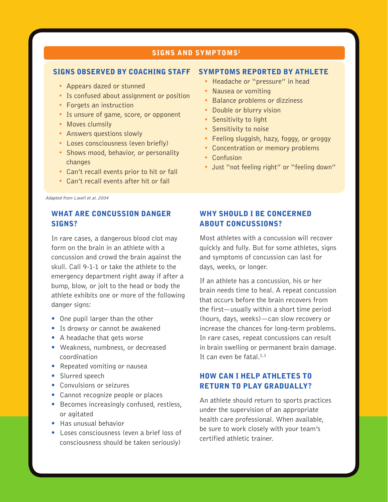#### SIGNS AND SYMPTOMS<sup>1</sup>

#### SIGNS OBSERVED BY COACHING STAFF

- **Appears dazed or stunned**
- **•** Is confused about assignment or position
- Forgets an instruction
- **Is unsure of game, score, or opponent**
- Moves clumsily
- **Answers questions slowly**
- Loses consciousness (even briefly)
- Shows mood, behavior, or personality changes
- Can't recall events prior to hit or fall
- Can't recall events after hit or fall

Adapted from Lovell et al. 2004

### WHAT ARE CONCUSSION DANGER SIGNS?

In rare cases, a dangerous blood clot may form on the brain in an athlete with a concussion and crowd the brain against the skull. Call 9-1-1 or take the athlete to the emergency department right away if after a bump, blow, or jolt to the head or body the athlete exhibits one or more of the following danger signs:

- One pupil larger than the other
- Is drowsy or cannot be awakened
- A headache that gets worse
- Weakness, numbness, or decreased coordination
- Repeated vomiting or nausea
- Slurred speech
- Convulsions or seizures
- Cannot recognize people or places
- Becomes increasingly confused, restless, or agitated
- Has unusual behavior
- Loses consciousness (even a brief loss of consciousness should be taken seriously)

#### SYMPTOMS REPORTED BY ATHLETE

- Headache or "pressure" in head
- Nausea or vomiting
- **Balance problems or dizziness**
- **•** Double or blurry vision
- Sensitivity to light
- Sensitivity to noise
- Feeling sluggish, hazy, foggy, or groggy
- **•** Concentration or memory problems
- Confusion
- Just "not feeling right" or "feeling down"

# WHY SHOULD I BE CONCERNED ABOUT CONCUSSIONS?

Most athletes with a concussion will recover quickly and fully. But for some athletes, signs and symptoms of concussion can last for days, weeks, or longer.

If an athlete has a concussion, his or her brain needs time to heal. A repeat concussion that occurs before the brain recovers from the first—usually within a short time period (hours, days, weeks)—can slow recovery or increase the chances for long-term problems. In rare cases, repeat concussions can result in brain swelling or permanent brain damage. It can even be fatal. $2,3$ 

# HOW CAN I HELP ATHLETES TO RETURN TO PLAY GRADUALLY?

An athlete should return to sports practices under the supervision of an appropriate health care professional. When available, be sure to work closely with your team's certified athletic trainer.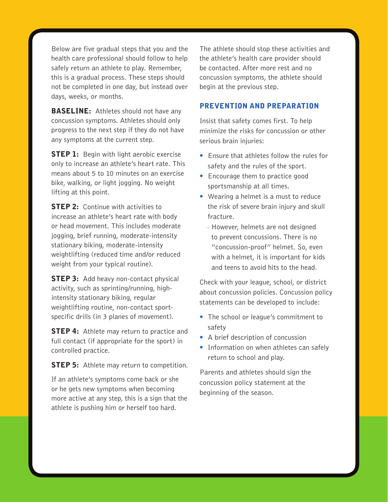Below are five gradual steps that you and the health care professional should follow to help safely return an athlete to play. Remember, this is a gradual process. These steps should not be completed in one day, but instead over days, weeks, or months.

**BASELINE:** Athletes should not have any concussion symptoms. Athletes should only progress to the next step if they do not have any symptoms at the current step.

**STEP 1:** Begin with light aerobic exercise only to increase an athlete's heart rate. This means about 5 to 10 minutes on an exercise bike, walking, or light jogging. No weight lifting at this point.

**STEP 2:** Continue with activities to increase an athlete's heart rate with body or head movement. This includes moderate jogging, brief running, moderate-intensity stationary biking, moderate-intensity weightlifting (reduced time and/or reduced weight from your typical routine).

**STEP 3:** Add heavy non-contact physical activity, such as sprinting/running, highintensity stationary biking, regular weightlifting routine, non-contact sportspecific drills (in 3 planes of movement).

**STEP 4:** Athlete may return to practice and full contact (if appropriate for the sport) in controlled practice.

**STEP 5:** Athlete may return to competition.

If an athlete's symptoms come back or she or he gets new symptoms when becoming more active at any step, this is a sign that the athlete is pushing him or herself too hard.

The athlete should stop these activities and the athlete's health care provider should be contacted. After more rest and no concussion symptoms, the athlete should begin at the previous step.

# PREVENTION AND PREPARATION

Insist that safety comes first. To help minimize the risks for concussion or other serious brain injuries:

- Ensure that athletes follow the rules for safety and the rules of the sport.
- Encourage them to practice good sportsmanship at all times.
- Wearing a helmet is a must to reduce the risk of severe brain injury and skull fracture.
- However, helmets are not designed to prevent concussions. There is no "concussion-proof" helmet. So, even with a helmet, it is important for kids and teens to avoid hits to the head.

Check with your league, school, or district about concussion policies. Concussion policy statements can be developed to include:

- The school or league's commitment to safety
- A brief description of concussion
- Information on when athletes can safely return to school and play.

Parents and athletes should sign the concussion policy statement at the beginning of the season.